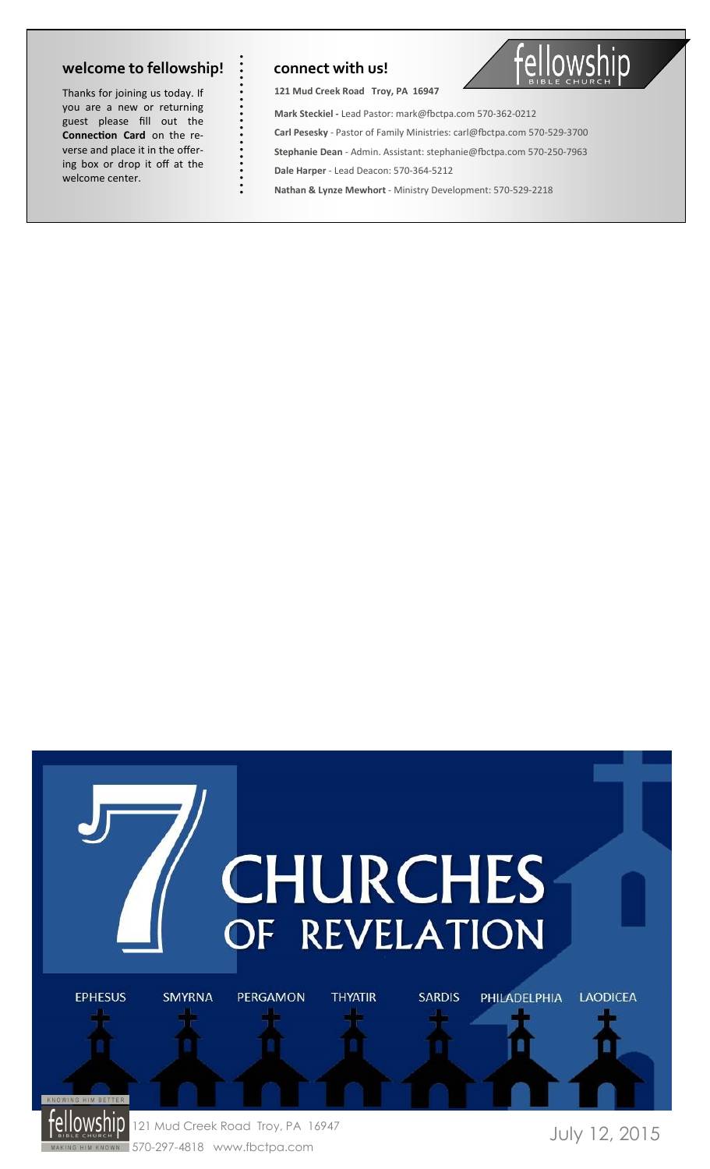Thanks for joining us today. If you are a new or returning guest please fill out the **Connection Card** on the reverse and place it in the offering box or drop it off at the welcome center. **welcome to fellowship!**<br>
Thanks for joining us today. If<br>
you are a new or returning<br>
guest please fill out the<br> **Connection Card** on the re-<br>
verse and place it in the offer-<br>
ing box or drop it off at the<br>
welcome cente

**121 Mud Creek Road Troy, PA 16947** 



**Mark Steckiel -** Lead Pastor: mark@fbctpa.com 570-362-0212 **Carl Pesesky** - Pastor of Family Ministries: carl@fbctpa.com 570-529-3700 **Stephanie Dean** - Admin. Assistant: stephanie@fbctpa.com 570-250-7963 **Dale Harper** - Lead Deacon: 570-364-5212 **Nathan & Lynze Mewhort** - Ministry Development: 570-529-2218